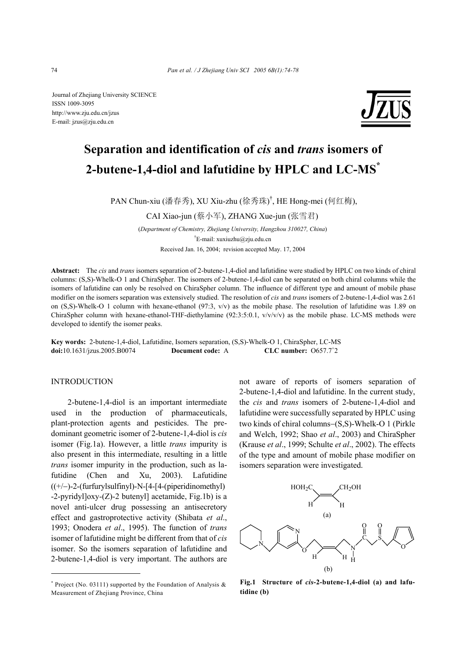Journal of Zhejiang University SCIENCE ISSN 1009-3095 http://www.zju.edu.cn/jzus E-mail: jzus@zju.edu.cn



# **Separation and identification of** *cis* **and** *trans* **isomers of 2-butene-1,4-diol and lafutidine by HPLC and LC-MS\***

PAN Chun-xiu (潘春秀), XU Xiu-zhu (徐秀珠) † , HE Hong-mei (何红梅),

CAI Xiao-jun (蔡小军), ZHANG Xue-jun (张雪君)

(*Department of Chemistry, Zhejiang University, Hangzhou 310027, China*) † E-mail: xuxiuzhu@zju.edu.cn Received Jan. 16, 2004; revision accepted May. 17, 2004

**Abstract:** The *cis* and *trans* isomers separation of 2-butene-1,4-diol and lafutidine were studied by HPLC on two kinds of chiral columns: (S,S)-Whelk-O 1 and ChiraSpher. The isomers of 2-butene-1,4-diol can be separated on both chiral columns while the isomers of lafutidine can only be resolved on ChiraSpher column. The influence of different type and amount of mobile phase modifier on the isomers separation was extensively studied. The resolution of *cis* and *trans* isomers of 2-butene-1,4-diol was 2.61 on  $(S, S)$ -Whelk-O 1 column with hexane-ethanol  $(97.3, v/v)$  as the mobile phase. The resolution of lafutidine was 1.89 on ChiraSpher column with hexane-ethanol-THF-diethylamine  $(92:3:5:0.1, v/v/v/v)$  as the mobile phase. LC-MS methods were developed to identify the isomer peaks.

**Key words:** 2-butene-1,4-diol, Lafutidine, Isomers separation, (S,S)-Whelk-O 1, ChiraSpher, LC-MS **doi:**10.1631/jzus.2005.B0074 **Document code:** A CLC number:  $0657.7^{\text{+}}2$ 

# INTRODUCTION

2-butene-1,4-diol is an important intermediate used in the production of pharmaceuticals, plant-protection agents and pesticides. The predominant geometric isomer of 2-butene-1,4-diol is *cis* isomer (Fig.1a). However, a little *trans* impurity is also present in this intermediate, resulting in a little *trans* isomer impurity in the production, such as lafutidine (Chen and Xu, 2003). Lafutidine ((+/−)-2-(furfurylsulfinyl)-N-[4-[4-(piperidinomethyl)  $-2$ -pyridyl $\vert$ oxy-(Z)-2 butenyl $\vert$  acetamide, Fig.1b) is a novel anti-ulcer drug possessing an antisecretory effect and gastroprotective activity (Shibata *et al*., 1993; Onodera *et al*., 1995). The function of *trans* isomer of lafutidine might be different from that of *cis* isomer. So the isomers separation of lafutidine and 2-butene-1,4-diol is very important. The authors are not aware of reports of isomers separation of 2-butene-1,4-diol and lafutidine. In the current study, the *cis* and *trans* isomers of 2-butene-1,4-diol and lafutidine were successfully separated by HPLC using two kinds of chiral columns−(S,S)-Whelk-O 1 (Pirkle and Welch, 1992; Shao *et al*., 2003) and ChiraSpher (Krause *et al*., 1999; Schulte *et al*., 2002). The effects of the type and amount of mobile phase modifier on isomers separation were investigated.



**Fig.1 Structure of** *cis***-2-butene-1,4-diol (a) and lafutidine (b)**

<sup>\*</sup> Project (No. 03111) supported by the Foundation of Analysis & Measurement of Zhejiang Province, China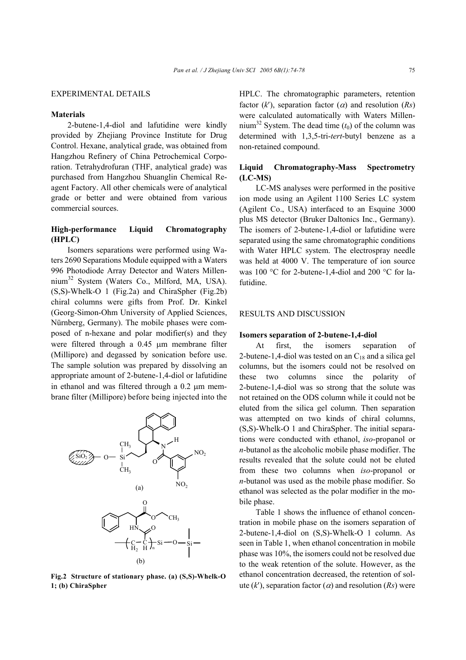## EXPERIMENTAL DETAILS

### **Materials**

2-butene-1,4-diol and lafutidine were kindly provided by Zhejiang Province Institute for Drug Control. Hexane, analytical grade, was obtained from Hangzhou Refinery of China Petrochemical Corporation. Tetrahydrofuran (THF, analytical grade) was purchased from Hangzhou Shuanglin Chemical Reagent Factory. All other chemicals were of analytical grade or better and were obtained from various commercial sources.

# **High-performance Liquid Chromatography (HPLC)**

Isomers separations were performed using Waters 2690 Separations Module equipped with a Waters 996 Photodiode Array Detector and Waters Millennium<sup>32</sup> System (Waters Co., Milford, MA, USA). (S,S)-Whelk-O 1 (Fig.2a) and ChiraSpher (Fig.2b) chiral columns were gifts from Prof. Dr. Kinkel (Georg-Simon-Ohm University of Applied Sciences, Nürnberg, Germany). The mobile phases were composed of n-hexane and polar modifier(s) and they were filtered through a 0.45 µm membrane filter (Millipore) and degassed by sonication before use. The sample solution was prepared by dissolving an appropriate amount of 2-butene-1,4-diol or lafutidine in ethanol and was filtered through a 0.2 um membrane filter (Millipore) before being injected into the



**Fig.2 Structure of stationary phase. (a) (S,S)-Whelk-O 1; (b) ChiraSpher** 

HPLC. The chromatographic parameters, retention factor  $(k')$ , separation factor  $(\alpha)$  and resolution  $(Rs)$ were calculated automatically with Waters Millennium<sup>32</sup> System. The dead time  $(t_0)$  of the column was determined with 1,3,5-tri-*tert*-butyl benzene as a non-retained compound.

# **Liquid Chromatography-Mass Spectrometry (LC-MS)**

LC-MS analyses were performed in the positive ion mode using an Agilent 1100 Series LC system (Agilent Co., USA) interfaced to an Esquine 3000 plus MS detector (Bruker Daltonics Inc., Germany). The isomers of 2-butene-1,4-diol or lafutidine were separated using the same chromatographic conditions with Water HPLC system. The electrospray needle was held at 4000 V. The temperature of ion source was 100 °C for 2-butene-1,4-diol and 200 °C for lafutidine.

# RESULTS AND DISCUSSION

#### **Isomers separation of 2-butene-1,4-diol**

At first, the isomers separation of 2-butene-1,4-diol was tested on an  $C_{18}$  and a silica gel columns, but the isomers could not be resolved on these two columns since the polarity of 2-butene-1,4-diol was so strong that the solute was not retained on the ODS column while it could not be eluted from the silica gel column. Then separation was attempted on two kinds of chiral columns, (S,S)-Whelk-O 1 and ChiraSpher. The initial separations were conducted with ethanol, *iso*-propanol or *n*-butanol as the alcoholic mobile phase modifier. The results revealed that the solute could not be eluted from these two columns when *iso*-propanol or *n*-butanol was used as the mobile phase modifier. So ethanol was selected as the polar modifier in the mobile phase.

Table 1 shows the influence of ethanol concentration in mobile phase on the isomers separation of 2-butene-1,4-diol on (S,S)-Whelk-O 1 column. As seen in Table 1, when ethanol concentration in mobile phase was 10%, the isomers could not be resolved due to the weak retention of the solute. However, as the ethanol concentration decreased, the retention of solute  $(k')$ , separation factor  $(\alpha)$  and resolution  $(Rs)$  were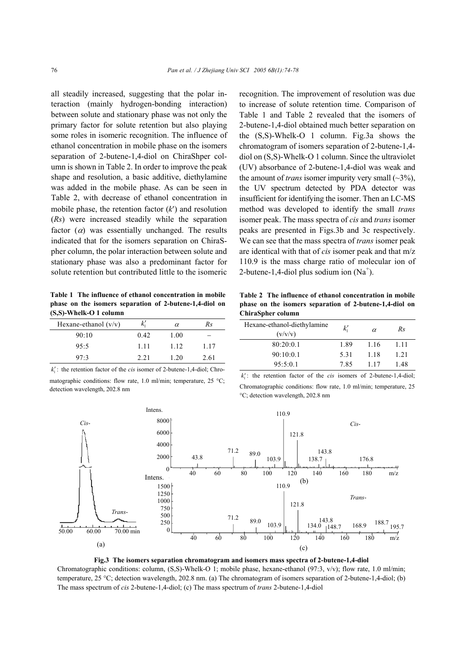all steadily increased, suggesting that the polar interaction (mainly hydrogen-bonding interaction) between solute and stationary phase was not only the primary factor for solute retention but also playing some roles in isomeric recognition. The influence of ethanol concentration in mobile phase on the isomers separation of 2-butene-1,4-diol on ChiraShper column is shown in Table 2. In order to improve the peak shape and resolution, a basic additive, diethylamine was added in the mobile phase. As can be seen in Table 2, with decrease of ethanol concentration in mobile phase, the retention factor (*k*′) and resolution (*Rs*) were increased steadily while the separation factor  $(\alpha)$  was essentially unchanged. The results indicated that for the isomers separation on ChiraSpher column, the polar interaction between solute and stationary phase was also a predominant factor for solute retention but contributed little to the isomeric

**Table 1 The influence of ethanol concentration in mobile phase on the isomers separation of 2-butene-1,4-diol on (S,S)-Whelk-O 1 column** 

| Hexane-ethanol $(v/v)$ | $k_{1}^{\prime}$ | $\alpha$ | Rs   |
|------------------------|------------------|----------|------|
| 90:10                  | 0.42             | 1.00     | -    |
| 95:5                   | 1.11             | 1 1 2    | 1.17 |
| 97.3                   | 2.21             | 1.20     | 2.61 |

 $k'_i$ : the retention factor of the *cis* isomer of 2-butene-1,4-diol; Chromatographic conditions: flow rate, 1.0 ml/min; temperature, 25 °C; detection wavelength, 202.8 nm

recognition. The improvement of resolution was due to increase of solute retention time. Comparison of Table 1 and Table 2 revealed that the isomers of 2-butene-1,4-diol obtained much better separation on the (S,S)-Whelk-O 1 column. Fig.3a shows the chromatogram of isomers separation of 2-butene-1,4 diol on (S,S)-Whelk-O 1 column. Since the ultraviolet (UV) absorbance of 2-butene-1,4-diol was weak and the amount of *trans* isomer impurity very small  $(\sim 3\%)$ , the UV spectrum detected by PDA detector was insufficient for identifying the isomer. Then an LC-MS method was developed to identify the small *trans* isomer peak. The mass spectra of *cis* and *trans* isomer peaks are presented in Figs.3b and 3c respectively. We can see that the mass spectra of *trans* isomer peak are identical with that of *cis* isomer peak and that m/z 110.9 is the mass charge ratio of molecular ion of 2-butene-1,4-diol plus sodium ion  $(Na^+)$ .

**Table 2 The influence of ethanol concentration in mobile phase on the isomers separation of 2-butene-1,4-diol on ChiraSpher column** 

| Hexane-ethanol-diethylamine<br>(v/v/v) | $k_{1}^{\prime}$ | $\alpha$ | Rs    |
|----------------------------------------|------------------|----------|-------|
| 80:20:0.1                              | 1.89             | 1.16     | 1 1 1 |
| 90:10:0.1                              | 5.31             | 1 1 8    | 1.21  |
| 95:5:0.1                               | 785              | 117      | 148   |

 $k'_i$ : the retention factor of the *cis* isomers of 2-butene-1,4-diol; Chromatographic conditions: flow rate, 1.0 ml/min; temperature, 25 °C; detection wavelength, 202.8 nm



**Fig.3 The isomers separation chromatogram and isomers mass spectra of 2-butene-1,4-diol**  Chromatographic conditions: column, (S,S)-Whelk-O 1; mobile phase, hexane-ethanol (97:3, v/v); flow rate, 1.0 ml/min;

temperature, 25 °C; detection wavelength, 202.8 nm. (a) The chromatogram of isomers separation of 2-butene-1,4-diol; (b) The mass spectrum of *cis* 2-butene-1,4-diol; (c) The mass spectrum of *trans* 2-butene-1,4-diol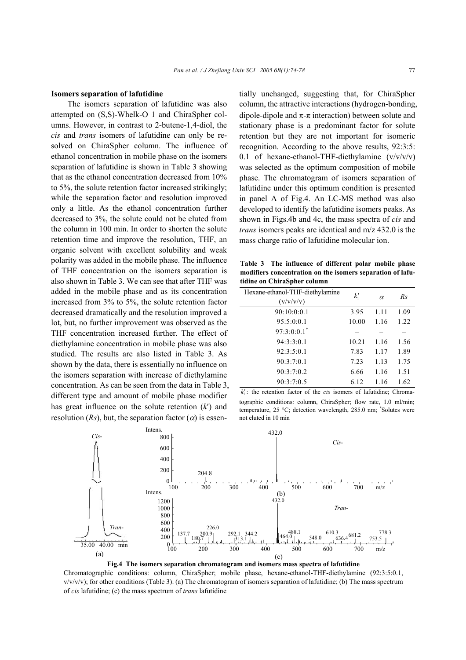#### **Isomers separation of lafutidine**

The isomers separation of lafutidine was also attempted on (S,S)-Whelk-O 1 and ChiraSpher columns. However, in contrast to 2-butene-1,4-diol, the *cis* and *trans* isomers of lafutidine can only be resolved on ChiraSpher column. The influence of ethanol concentration in mobile phase on the isomers separation of lafutidine is shown in Table 3 showing that as the ethanol concentration decreased from 10% to 5%, the solute retention factor increased strikingly; while the separation factor and resolution improved only a little. As the ethanol concentration further decreased to 3%, the solute could not be eluted from the column in 100 min. In order to shorten the solute retention time and improve the resolution, THF, an organic solvent with excellent solubility and weak polarity was added in the mobile phase. The influence of THF concentration on the isomers separation is also shown in Table 3. We can see that after THF was added in the mobile phase and as its concentration increased from 3% to 5%, the solute retention factor decreased dramatically and the resolution improved a lot, but, no further improvement was observed as the THF concentration increased further. The effect of diethylamine concentration in mobile phase was also studied. The results are also listed in Table 3. As shown by the data, there is essentially no influence on the isomers separation with increase of diethylamine concentration. As can be seen from the data in Table 3, different type and amount of mobile phase modifier has great influence on the solute retention (*k*′) and resolution  $(Rs)$ , but, the separation factor  $(\alpha)$  is essentially unchanged, suggesting that, for ChiraSpher column, the attractive interactions (hydrogen-bonding, dipole-dipole and  $\pi$ - $\pi$  interaction) between solute and stationary phase is a predominant factor for solute retention but they are not important for isomeric recognition. According to the above results, 92:3:5: 0.1 of hexane-ethanol-THF-diethylamine  $(v/v/v/v)$ was selected as the optimum composition of mobile phase. The chromatogram of isomers separation of lafutidine under this optimum condition is presented in panel A of Fig.4. An LC-MS method was also developed to identify the lafutidine isomers peaks. As shown in Figs.4b and 4c, the mass spectra of *cis* and *trans* isomers peaks are identical and m/z 432.0 is the mass charge ratio of lafutidine molecular ion.

**Table 3 The influence of different polar mobile phase modifiers concentration on the isomers separation of lafutidine on ChiraSpher column**

| Hexane-ethanol-THF-diethylamine<br>(v/v/v/v) | $k_1'$ | α    | Rs   |
|----------------------------------------------|--------|------|------|
| 90:10:0:0.1                                  | 3.95   | 1.11 | 1.09 |
| 95:5:0:0.1                                   | 10.00  | 1.16 | 1.22 |
| $97:3:0:0.1$ <sup>*</sup>                    |        |      |      |
| 94:3:3:0.1                                   | 10.21  | 1.16 | 1.56 |
| 92:3:5:0.1                                   | 7.83   | 1.17 | 1.89 |
| 90:3:7:0.1                                   | 7.23   | 1.13 | 1.75 |
| 90:3:7:0.2                                   | 6.66   | 1.16 | 1.51 |
| 90:3:7:0.5                                   | 6.12   | 1.16 | 1.62 |

 $k'$ : the retention factor of the *cis* isomers of lafutidine; Chromatographic conditions: column, ChiraSpher; flow rate, 1.0 ml/min; temperature, 25 °C; detection wavelength, 285.0 nm; \* Solutes were not eluted in 10 min



**Fig.4 The isomers separation chromatogram and isomers mass spectra of lafutidine** 

Chromatographic conditions: column, ChiraSpher; mobile phase, hexane-ethanol-THF-diethylamine (92:3:5:0.1,  $v/v/v/v$ ; for other conditions (Table 3). (a) The chromatogram of isomers separation of lafutidine; (b) The mass spectrum of *cis* lafutidine; (c) the mass spectrum of *trans* lafutidine